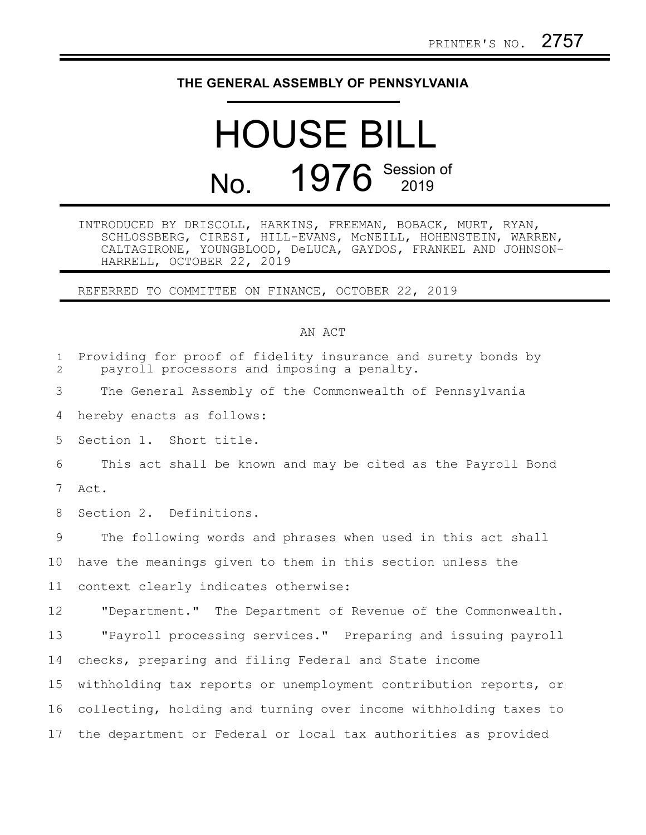## **THE GENERAL ASSEMBLY OF PENNSYLVANIA**

## HOUSE BILL No. 1976 Session of

INTRODUCED BY DRISCOLL, HARKINS, FREEMAN, BOBACK, MURT, RYAN, SCHLOSSBERG, CIRESI, HILL-EVANS, McNEILL, HOHENSTEIN, WARREN, CALTAGIRONE, YOUNGBLOOD, DeLUCA, GAYDOS, FRANKEL AND JOHNSON-HARRELL, OCTOBER 22, 2019

REFERRED TO COMMITTEE ON FINANCE, OCTOBER 22, 2019

## AN ACT

| $\mathbf{1}$<br>$\overline{2}$ | Providing for proof of fidelity insurance and surety bonds by<br>payroll processors and imposing a penalty. |
|--------------------------------|-------------------------------------------------------------------------------------------------------------|
| 3                              | The General Assembly of the Commonwealth of Pennsylvania                                                    |
| 4                              | hereby enacts as follows:                                                                                   |
| 5                              | Section 1. Short title.                                                                                     |
| 6                              | This act shall be known and may be cited as the Payroll Bond                                                |
| 7                              | Act.                                                                                                        |
| 8                              | Section 2. Definitions.                                                                                     |
| 9                              | The following words and phrases when used in this act shall                                                 |
| 10                             | have the meanings given to them in this section unless the                                                  |
| 11                             | context clearly indicates otherwise:                                                                        |
| 12                             | "Department." The Department of Revenue of the Commonwealth.                                                |
| 13                             | "Payroll processing services." Preparing and issuing payroll                                                |
| 14                             | checks, preparing and filing Federal and State income                                                       |
| 15                             | withholding tax reports or unemployment contribution reports, or                                            |
| 16                             | collecting, holding and turning over income withholding taxes to                                            |
| 17                             | the department or Federal or local tax authorities as provided                                              |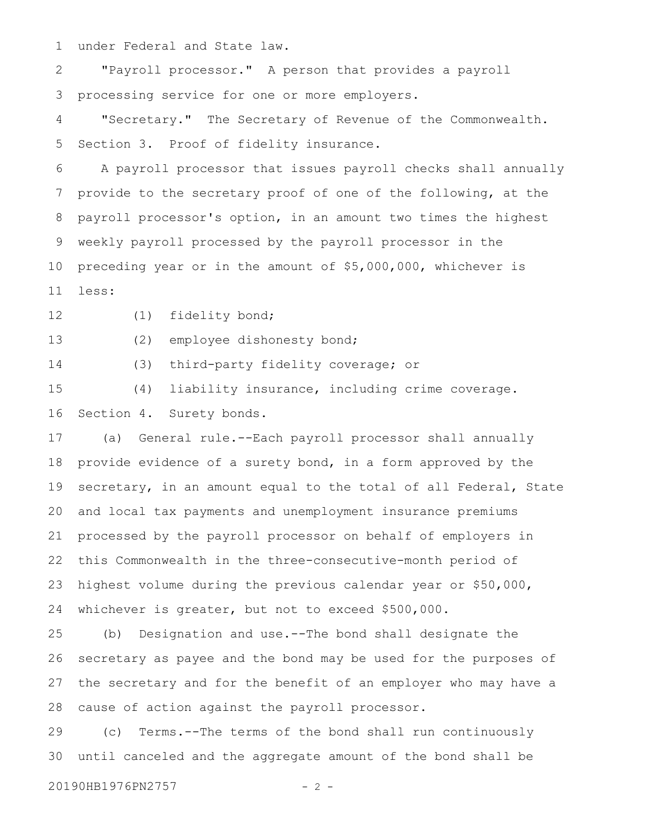under Federal and State law. 1

"Payroll processor." A person that provides a payroll processing service for one or more employers. 2 3

"Secretary." The Secretary of Revenue of the Commonwealth. Section 3. Proof of fidelity insurance. 4 5

A payroll processor that issues payroll checks shall annually provide to the secretary proof of one of the following, at the payroll processor's option, in an amount two times the highest weekly payroll processed by the payroll processor in the preceding year or in the amount of \$5,000,000, whichever is less: 6 7 8 9 10 11

(1) fidelity bond; 12

(2) employee dishonesty bond; 13

(3) third-party fidelity coverage; or 14

(4) liability insurance, including crime coverage. Section 4. Surety bonds. 15 16

(a) General rule.--Each payroll processor shall annually provide evidence of a surety bond, in a form approved by the secretary, in an amount equal to the total of all Federal, State and local tax payments and unemployment insurance premiums processed by the payroll processor on behalf of employers in this Commonwealth in the three-consecutive-month period of highest volume during the previous calendar year or \$50,000, whichever is greater, but not to exceed \$500,000. 17 18 19 20 21 22 23 24

(b) Designation and use.--The bond shall designate the secretary as payee and the bond may be used for the purposes of the secretary and for the benefit of an employer who may have a cause of action against the payroll processor. 25 26 27 28

(c) Terms.--The terms of the bond shall run continuously until canceled and the aggregate amount of the bond shall be 29 30

20190HB1976PN2757 - 2 -